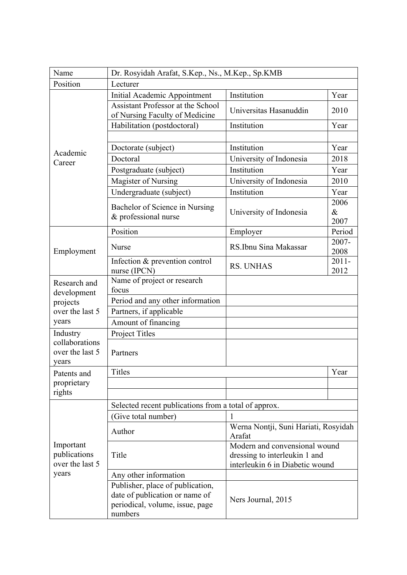| Name                                                                | Dr. Rosyidah Arafat, S.Kep., Ns., M.Kep., Sp.KMB                                                                 |                                                                                                   |                      |  |
|---------------------------------------------------------------------|------------------------------------------------------------------------------------------------------------------|---------------------------------------------------------------------------------------------------|----------------------|--|
| Position                                                            | Lecturer                                                                                                         |                                                                                                   |                      |  |
| Academic<br>Career                                                  | Initial Academic Appointment                                                                                     | Institution                                                                                       | Year                 |  |
|                                                                     | <b>Assistant Professor at the School</b><br>of Nursing Faculty of Medicine                                       | Universitas Hasanuddin                                                                            | 2010                 |  |
|                                                                     | Habilitation (postdoctoral)                                                                                      | Institution                                                                                       | Year                 |  |
|                                                                     |                                                                                                                  |                                                                                                   |                      |  |
|                                                                     | Doctorate (subject)                                                                                              | Institution                                                                                       | Year                 |  |
|                                                                     | Doctoral                                                                                                         | University of Indonesia                                                                           | 2018                 |  |
|                                                                     | Postgraduate (subject)                                                                                           | Institution                                                                                       | Year                 |  |
|                                                                     | Magister of Nursing                                                                                              | University of Indonesia                                                                           | 2010                 |  |
|                                                                     | Undergraduate (subject)                                                                                          | Institution                                                                                       | Year                 |  |
|                                                                     | Bachelor of Science in Nursing<br>& professional nurse                                                           | University of Indonesia                                                                           | 2006<br>$\&$<br>2007 |  |
|                                                                     | Position                                                                                                         | Employer                                                                                          | Period               |  |
| Employment                                                          | <b>Nurse</b>                                                                                                     | RS.Ibnu Sina Makassar                                                                             | 2007-<br>2008        |  |
|                                                                     | Infection & prevention control<br>nurse (IPCN)                                                                   | <b>RS. UNHAS</b>                                                                                  | $2011 -$<br>2012     |  |
| Research and<br>development<br>projects<br>over the last 5<br>years | Name of project or research<br>focus                                                                             |                                                                                                   |                      |  |
|                                                                     | Period and any other information                                                                                 |                                                                                                   |                      |  |
|                                                                     | Partners, if applicable                                                                                          |                                                                                                   |                      |  |
|                                                                     | Amount of financing                                                                                              |                                                                                                   |                      |  |
| Industry                                                            | Project Titles                                                                                                   |                                                                                                   |                      |  |
| collaborations<br>over the last 5<br>vears                          | Partners                                                                                                         |                                                                                                   |                      |  |
| Patents and                                                         | <b>Titles</b>                                                                                                    |                                                                                                   | Year                 |  |
| proprietary                                                         |                                                                                                                  |                                                                                                   |                      |  |
| rights                                                              |                                                                                                                  |                                                                                                   |                      |  |
|                                                                     | Selected recent publications from a total of approx.                                                             |                                                                                                   |                      |  |
|                                                                     | (Give total number)                                                                                              | 1                                                                                                 |                      |  |
| Important<br>publications<br>over the last 5<br>years               | Author                                                                                                           | Werna Nontji, Suni Hariati, Rosyidah<br>Arafat                                                    |                      |  |
|                                                                     | Title                                                                                                            | Modern and convensional wound<br>dressing to interleukin 1 and<br>interleukin 6 in Diabetic wound |                      |  |
|                                                                     | Any other information                                                                                            |                                                                                                   |                      |  |
|                                                                     | Publisher, place of publication,<br>date of publication or name of<br>periodical, volume, issue, page<br>numbers | Ners Journal, 2015                                                                                |                      |  |